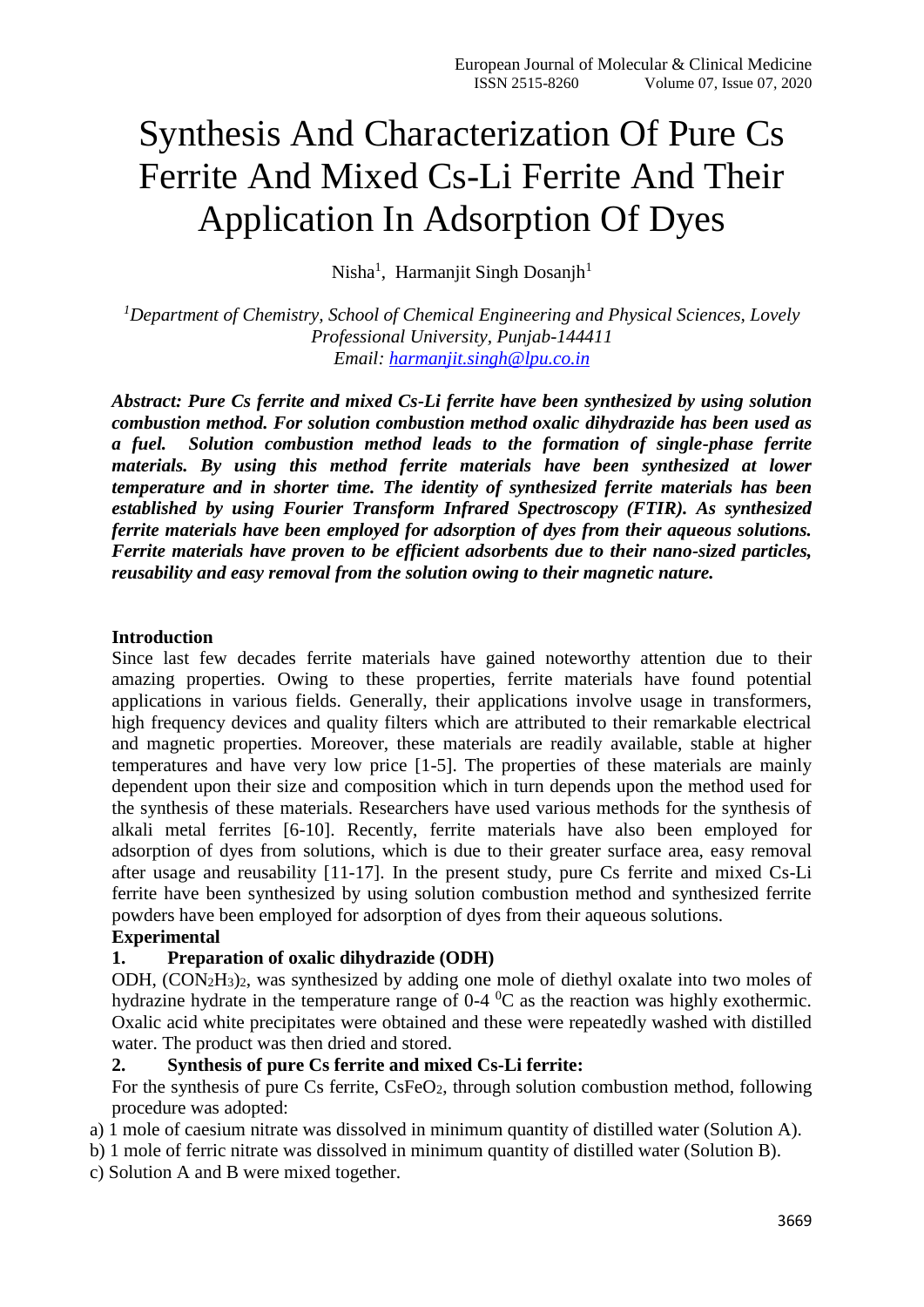# Synthesis And Characterization Of Pure Cs Ferrite And Mixed Cs-Li Ferrite And Their Application In Adsorption Of Dyes

Nisha<sup>1</sup>, Harmanjit Singh Dosanjh<sup>1</sup>

*<sup>1</sup>Department of Chemistry, School of Chemical Engineering and Physical Sciences, Lovely Professional University, Punjab-144411 Email: [harmanjit.singh@lpu.co.in](mailto:harmanjit.singh@lpu.co.in)*

*Abstract: Pure Cs ferrite and mixed Cs-Li ferrite have been synthesized by using solution combustion method. For solution combustion method oxalic dihydrazide has been used as a fuel. Solution combustion method leads to the formation of single-phase ferrite materials. By using this method ferrite materials have been synthesized at lower temperature and in shorter time. The identity of synthesized ferrite materials has been established by using Fourier Transform Infrared Spectroscopy (FTIR). As synthesized ferrite materials have been employed for adsorption of dyes from their aqueous solutions. Ferrite materials have proven to be efficient adsorbents due to their nano-sized particles, reusability and easy removal from the solution owing to their magnetic nature.* 

### **Introduction**

Since last few decades ferrite materials have gained noteworthy attention due to their amazing properties. Owing to these properties, ferrite materials have found potential applications in various fields. Generally, their applications involve usage in transformers, high frequency devices and quality filters which are attributed to their remarkable electrical and magnetic properties. Moreover, these materials are readily available, stable at higher temperatures and have very low price [1-5]. The properties of these materials are mainly dependent upon their size and composition which in turn depends upon the method used for the synthesis of these materials. Researchers have used various methods for the synthesis of alkali metal ferrites [6-10]. Recently, ferrite materials have also been employed for adsorption of dyes from solutions, which is due to their greater surface area, easy removal after usage and reusability [11-17]. In the present study, pure Cs ferrite and mixed Cs-Li ferrite have been synthesized by using solution combustion method and synthesized ferrite powders have been employed for adsorption of dyes from their aqueous solutions.

### **Experimental**

### **1. Preparation of oxalic dihydrazide (ODH)**

ODH, (CON2H3)2, was synthesized by adding one mole of diethyl oxalate into two moles of hydrazine hydrate in the temperature range of  $0-4$  °C as the reaction was highly exothermic. Oxalic acid white precipitates were obtained and these were repeatedly washed with distilled water. The product was then dried and stored.

### **2. Synthesis of pure Cs ferrite and mixed Cs-Li ferrite:**

For the synthesis of pure Cs ferrite, CsFeO<sub>2</sub>, through solution combustion method, following procedure was adopted:

- a) 1 mole of caesium nitrate was dissolved in minimum quantity of distilled water (Solution A).
- b) 1 mole of ferric nitrate was dissolved in minimum quantity of distilled water (Solution B).
- c) Solution A and B were mixed together.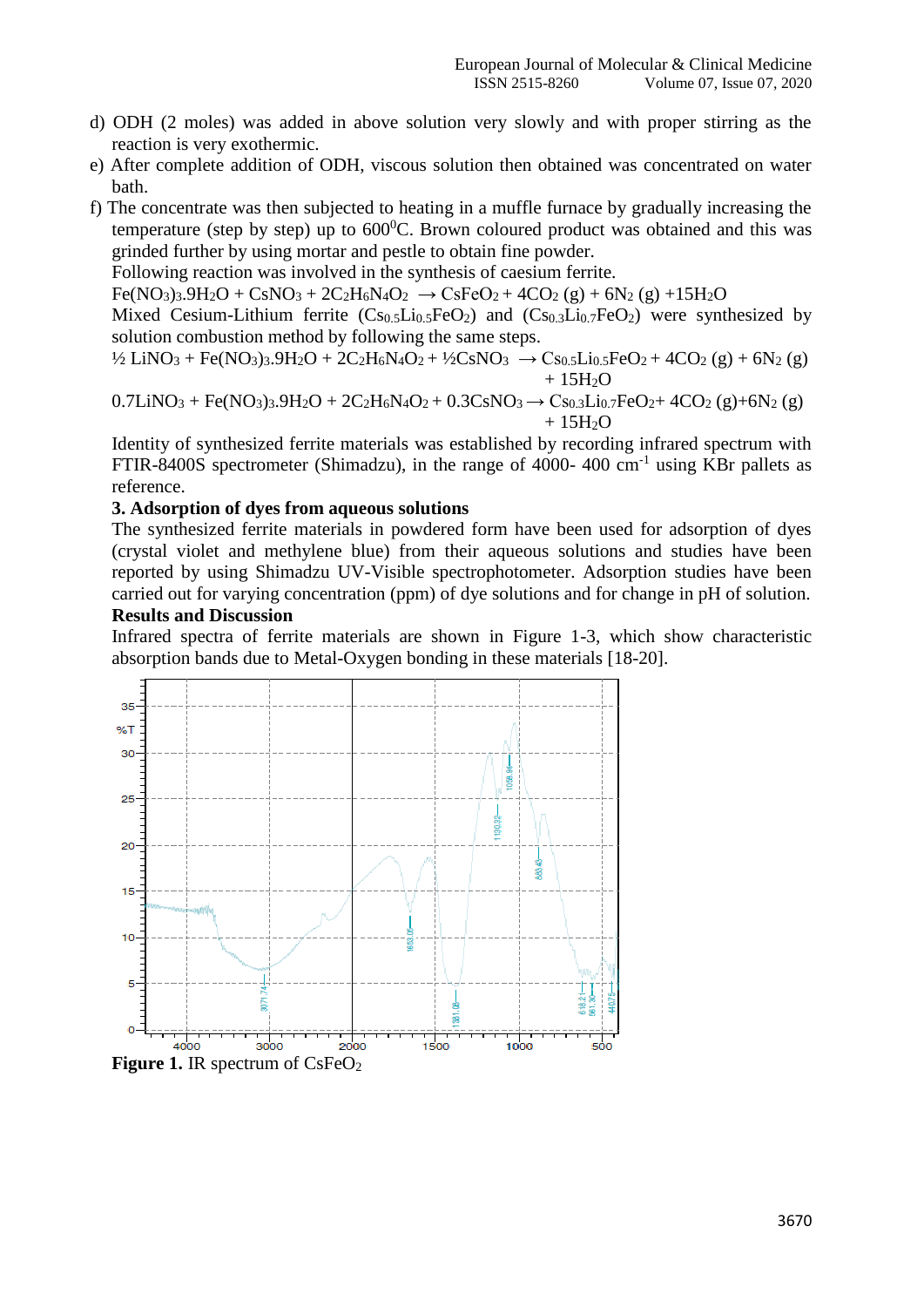- d) ODH (2 moles) was added in above solution very slowly and with proper stirring as the reaction is very exothermic.
- e) After complete addition of ODH, viscous solution then obtained was concentrated on water bath.
- f) The concentrate was then subjected to heating in a muffle furnace by gradually increasing the temperature (step by step) up to  $600^{\circ}$ C. Brown coloured product was obtained and this was grinded further by using mortar and pestle to obtain fine powder.

Following reaction was involved in the synthesis of caesium ferrite.

 $Fe(NO<sub>3</sub>)<sub>3</sub>.9H<sub>2</sub>O + CsNO<sub>3</sub> + 2C<sub>2</sub>H<sub>6</sub>N<sub>4</sub>O<sub>2</sub> \rightarrow CsFeO<sub>2</sub> + 4CO<sub>2</sub> (g) + 6N<sub>2</sub> (g) +15H<sub>2</sub>O$ 

Mixed Cesium-Lithium ferrite  $(Cs_0, \overline{L}i_0, \overline{FeO_2})$  and  $(Cs_0, \overline{L}i_0, \overline{FeO_2})$  were synthesized by solution combustion method by following the same steps.

$$
^{1}\!\!2 \text{ LiNO}_3 + \text{Fe}(\text{NO}_3)_3.9\text{H}_2\text{O} + 2\text{C}_2\text{H}_6\text{N}_4\text{O}_2 + ^{1}\!\!2\text{CsNO}_3 \rightarrow \text{Cs}_{0.5}\text{Li}_{0.5}\text{FeO}_2 + 4\text{CO}_2\text{ (g)} + 6\text{N}_2\text{ (g)} + ^{1}\!\!3\text{H}_2\text{O}
$$

$$
0.7 LiNO3 + Fe(NO3)3.9H2O + 2C2H6N4O2 + 0.3CsNO3 \rightarrow C80.3Li0.7FeO2+ 4CO2 (g)+6N2 (g)+ 15H2O
$$

Identity of synthesized ferrite materials was established by recording infrared spectrum with FTIR-8400S spectrometer (Shimadzu), in the range of 4000-400 cm<sup>-1</sup> using KBr pallets as reference.

#### **3. Adsorption of dyes from aqueous solutions**

The synthesized ferrite materials in powdered form have been used for adsorption of dyes (crystal violet and methylene blue) from their aqueous solutions and studies have been reported by using Shimadzu UV-Visible spectrophotometer. Adsorption studies have been carried out for varying concentration (ppm) of dye solutions and for change in pH of solution.

### **Results and Discussion**

Infrared spectra of ferrite materials are shown in Figure 1-3, which show characteristic absorption bands due to Metal-Oxygen bonding in these materials [18-20].

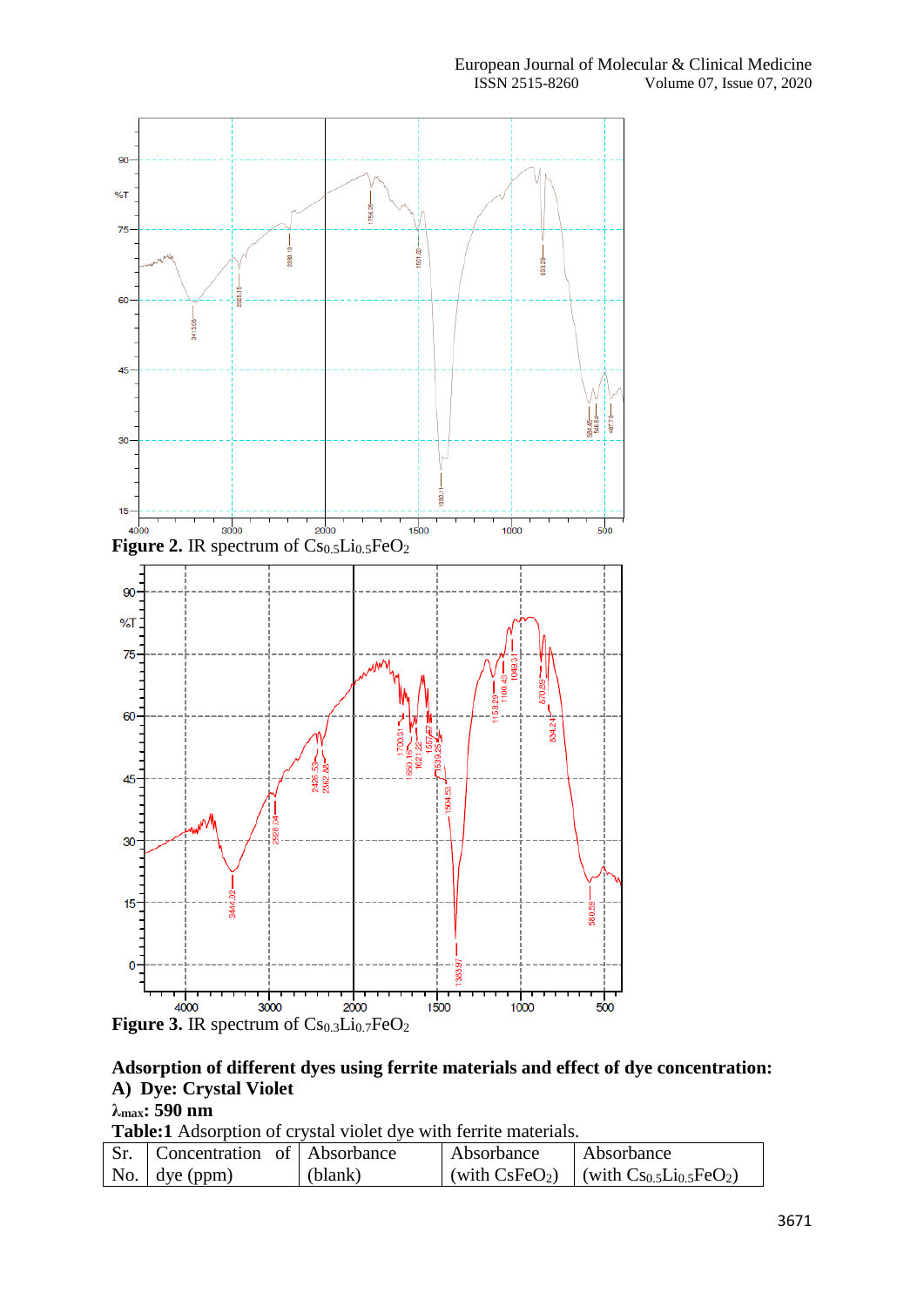

## **Adsorption of different dyes using ferrite materials and effect of dye concentration: A) Dye: Crystal Violet**

### **λmax: 590 nm**

**Table:1** Adsorption of crystal violet dye with ferrite materials.

| Concentration of Absorbance   |         | Absorbance | Absorbance                                |
|-------------------------------|---------|------------|-------------------------------------------|
| $\vert$ No. $\vert$ dye (ppm) | (blank) |            | (with $CsFeO2$ ) (with $Cs0.5Li0.5FeO2$ ) |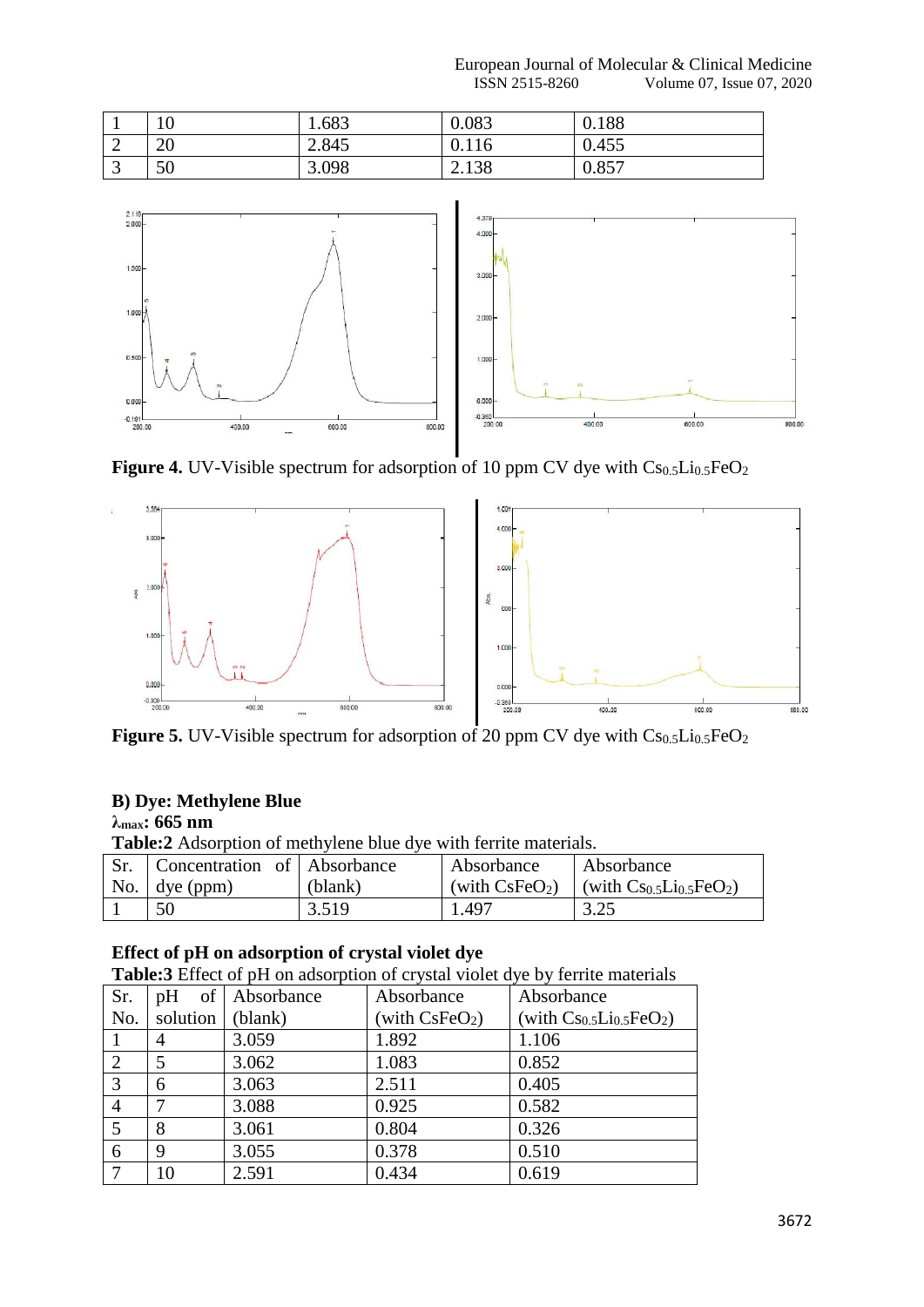|   | $\Omega$<br>ιv | .683  | 0.083 | 0.188 |
|---|----------------|-------|-------|-------|
| ∼ | 20             | 2.845 | 0.116 | 0.455 |
| ັ | 50             | 3.098 | 2.138 | 0.857 |



**Figure 4.** UV-Visible spectrum for adsorption of 10 ppm CV dye with  $Cs<sub>0.5</sub>Li<sub>0.5</sub>FeO<sub>2</sub>$ 



**Figure 5.** UV-Visible spectrum for adsorption of 20 ppm CV dye with Cs<sub>0.5</sub>Li<sub>0.5</sub>FeO<sub>2</sub>

### **B) Dye: Methylene Blue**

### **λmax: 665 nm**

**Table:2** Adsorption of methylene blue dye with ferrite materials.

| Concentration of Absorbance |         | Absorbance | Absorbance                                |
|-----------------------------|---------|------------|-------------------------------------------|
| No. $\vert$ dye (ppm)       | (blank) |            | (with $CsFeO2$ ) (with $Cs0.5Li0.5FeO2$ ) |
| 50                          | 3.519   | 1.497      | 3.25                                      |

### **Effect of pH on adsorption of crystal violet dye**

**Table:3** Effect of pH on adsorption of crystal violet dye by ferrite materials

| Sr.            | pH       | of Absorbance | Absorbance       | Absorbance                     |
|----------------|----------|---------------|------------------|--------------------------------|
| No.            | solution | (blank)       | (with $CsFeO2$ ) | (with $Cs_{0.5}Li_{0.5}FeO2$ ) |
|                | 4        | 3.059         | 1.892            | 1.106                          |
| 2              |          | 3.062         | 1.083            | 0.852                          |
| 3              | 6        | 3.063         | 2.511            | 0.405                          |
| $\overline{4}$ |          | 3.088         | 0.925            | 0.582                          |
| 5              | 8        | 3.061         | 0.804            | 0.326                          |
| 6              | 9        | 3.055         | 0.378            | 0.510                          |
|                | 10       | 2.591         | 0.434            | 0.619                          |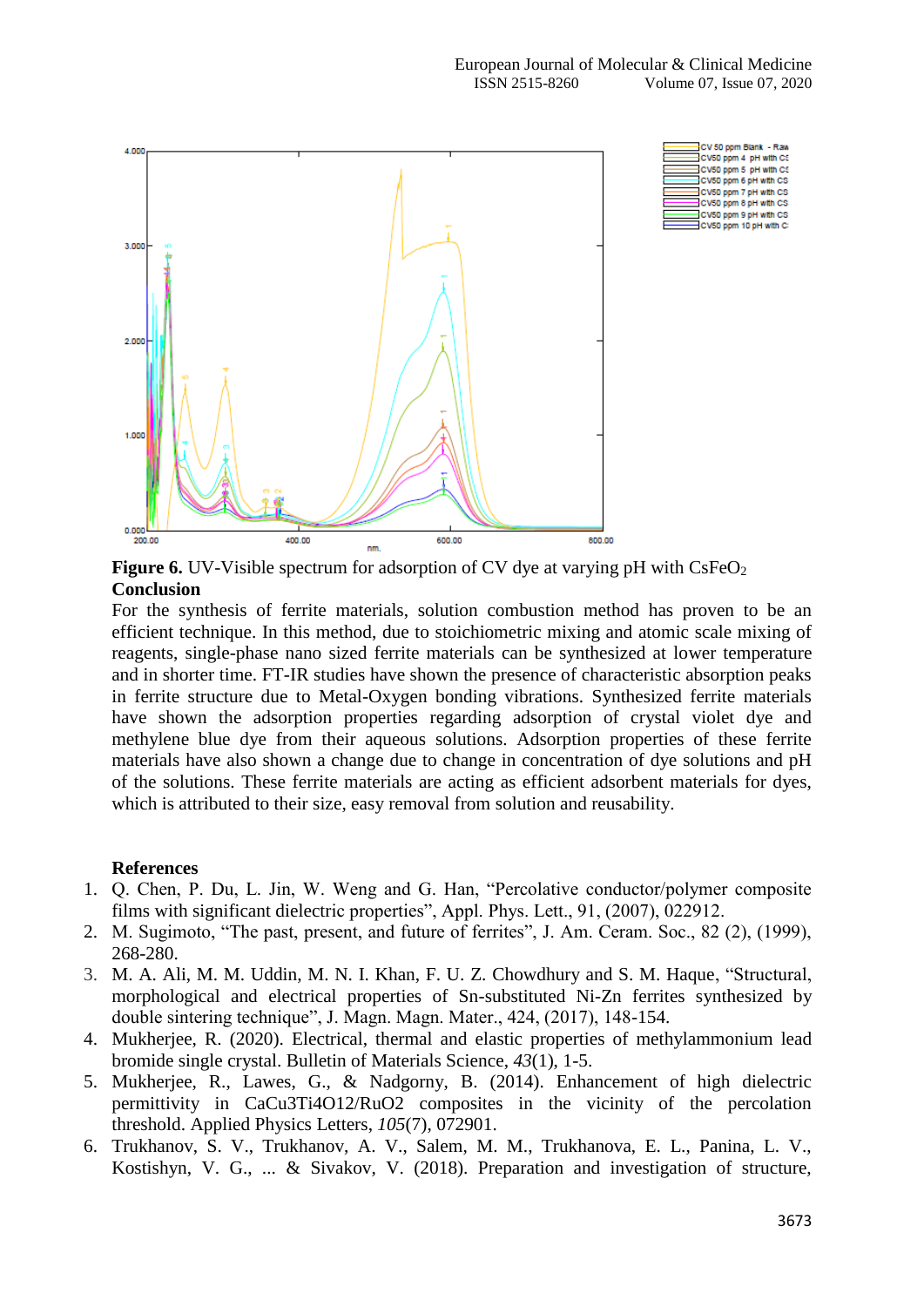

**Figure 6.** UV-Visible spectrum for adsorption of CV dye at varying pH with CsFeO<sub>2</sub> **Conclusion**

For the synthesis of ferrite materials, solution combustion method has proven to be an efficient technique. In this method, due to stoichiometric mixing and atomic scale mixing of reagents, single-phase nano sized ferrite materials can be synthesized at lower temperature and in shorter time. FT-IR studies have shown the presence of characteristic absorption peaks in ferrite structure due to Metal-Oxygen bonding vibrations. Synthesized ferrite materials have shown the adsorption properties regarding adsorption of crystal violet dye and methylene blue dye from their aqueous solutions. Adsorption properties of these ferrite materials have also shown a change due to change in concentration of dye solutions and pH of the solutions. These ferrite materials are acting as efficient adsorbent materials for dyes, which is attributed to their size, easy removal from solution and reusability.

### **References**

- 1. Q. Chen, P. Du, L. Jin, W. Weng and G. Han, "Percolative conductor/polymer composite films with significant dielectric properties", Appl. Phys. Lett., 91, (2007), 022912.
- 2. M. Sugimoto, "The past, present, and future of ferrites", J. Am. Ceram. Soc., 82 (2), (1999), 268-280.
- 3. M. A. Ali, M. M. Uddin, M. N. I. Khan, F. U. Z. Chowdhury and S. M. Haque, "Structural, morphological and electrical properties of Sn-substituted Ni-Zn ferrites synthesized by double sintering technique", J. Magn. Magn. Mater., 424, (2017), 148-154.
- 4. Mukherjee, R. (2020). Electrical, thermal and elastic properties of methylammonium lead bromide single crystal. Bulletin of Materials Science, *43*(1), 1-5.
- 5. Mukherjee, R., Lawes, G., & Nadgorny, B. (2014). Enhancement of high dielectric permittivity in CaCu3Ti4O12/RuO2 composites in the vicinity of the percolation threshold. Applied Physics Letters, *105*(7), 072901.
- 6. Trukhanov, S. V., Trukhanov, A. V., Salem, M. M., Trukhanova, E. L., Panina, L. V., Kostishyn, V. G., ... & Sivakov, V. (2018). Preparation and investigation of structure,